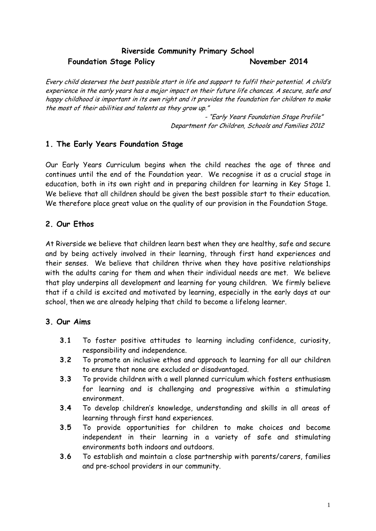# **Riverside Community Primary School Foundation Stage Policy November 2014**

Every child deserves the best possible start in life and support to fulfil their potential. A child's experience in the early years has a major impact on their future life chances. A secure, safe and happy childhood is important in its own right and it provides the foundation for children to make the most of their abilities and talents as they grow up."

> - "Early Years Foundation Stage Profile" Department for Children, Schools and Families 2012

### **1. The Early Years Foundation Stage**

Our Early Years Curriculum begins when the child reaches the age of three and continues until the end of the Foundation year. We recognise it as a crucial stage in education, both in its own right and in preparing children for learning in Key Stage 1. We believe that all children should be given the best possible start to their education. We therefore place great value on the quality of our provision in the Foundation Stage.

## **2. Our Ethos**

At Riverside we believe that children learn best when they are healthy, safe and secure and by being actively involved in their learning, through first hand experiences and their senses. We believe that children thrive when they have positive relationships with the adults caring for them and when their individual needs are met. We believe that play underpins all development and learning for young children. We firmly believe that if a child is excited and motivated by learning, especially in the early days at our school, then we are already helping that child to become a lifelong learner.

### **3. Our Aims**

- **3.1** To foster positive attitudes to learning including confidence, curiosity, responsibility and independence.
- **3.2** To promote an inclusive ethos and approach to learning for all our children to ensure that none are excluded or disadvantaged.
- **3.3** To provide children with a well planned curriculum which fosters enthusiasm for learning and is challenging and progressive within a stimulating environment.
- **3.4** To develop children's knowledge, understanding and skills in all areas of learning through first hand experiences.
- **3.5** To provide opportunities for children to make choices and become independent in their learning in a variety of safe and stimulating environments both indoors and outdoors.
- **3.6** To establish and maintain a close partnership with parents/carers, families and pre-school providers in our community.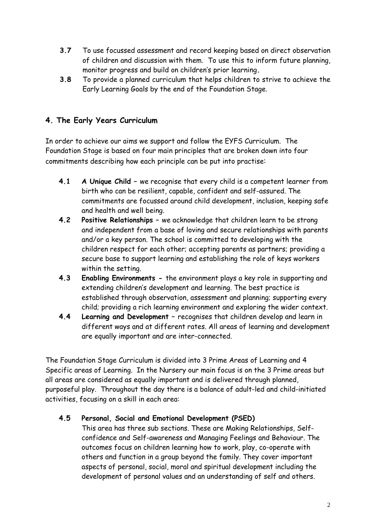- **3.7** To use focussed assessment and record keeping based on direct observation of children and discussion with them. To use this to inform future planning, monitor progress and build on children's prior learning**.**
- **3.8** To provide a planned curriculum that helps children to strive to achieve the Early Learning Goals by the end of the Foundation Stage.

# **4. The Early Years Curriculum**

In order to achieve our aims we support and follow the EYFS Curriculum. The Foundation Stage is based on four main principles that are broken down into four commitments describing how each principle can be put into practise:

- **4.1 A Unique Child –** we recognise that every child is a competent learner from birth who can be resilient, capable, confident and self-assured. The commitments are focussed around child development, inclusion, keeping safe and health and well being.
- **4.2 Positive Relationships –** we acknowledge that children learn to be strong and independent from a base of loving and secure relationships with parents and/or a key person. The school is committed to developing with the children respect for each other; accepting parents as partners; providing a secure base to support learning and establishing the role of keys workers within the setting.
- **4.3 Enabling Environments -** the environment plays a key role in supporting and extending children's development and learning. The best practice is established through observation, assessment and planning; supporting every child; providing a rich learning environment and exploring the wider context.
- **4.4 Learning and Development –** recognises that children develop and learn in different ways and at different rates. All areas of learning and development are equally important and are inter-connected.

The Foundation Stage Curriculum is divided into 3 Prime Areas of Learning and 4 Specific areas of Learning. In the Nursery our main focus is on the 3 Prime areas but all areas are considered as equally important and is delivered through planned, purposeful play. Throughout the day there is a balance of adult-led and child-initiated activities, focusing on a skill in each area:

## **4.5 Personal, Social and Emotional Development (PSED)**

This area has three sub sections. These are Making Relationships, Selfconfidence and Self-awareness and Managing Feelings and Behaviour. The outcomes focus on children learning how to work, play, co-operate with others and function in a group beyond the family. They cover important aspects of personal, social, moral and spiritual development including the development of personal values and an understanding of self and others.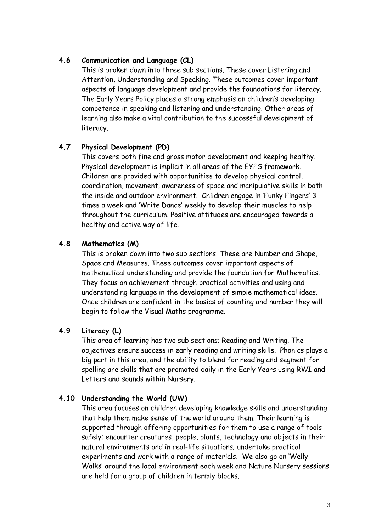#### **4.6 Communication and Language (CL)**

This is broken down into three sub sections. These cover Listening and Attention, Understanding and Speaking. These outcomes cover important aspects of language development and provide the foundations for literacy. The Early Years Policy places a strong emphasis on children's developing competence in speaking and listening and understanding. Other areas of learning also make a vital contribution to the successful development of literacy.

#### **4.7 Physical Development (PD)**

This covers both fine and gross motor development and keeping healthy. Physical development is implicit in all areas of the EYFS framework. Children are provided with opportunities to develop physical control, coordination, movement, awareness of space and manipulative skills in both the inside and outdoor environment. Children engage in 'Funky Fingers' 3 times a week and 'Write Dance' weekly to develop their muscles to help throughout the curriculum. Positive attitudes are encouraged towards a healthy and active way of life.

#### **4.8 Mathematics (M)**

This is broken down into two sub sections. These are Number and Shape, Space and Measures. These outcomes cover important aspects of mathematical understanding and provide the foundation for Mathematics. They focus on achievement through practical activities and using and understanding language in the development of simple mathematical ideas. Once children are confident in the basics of counting and number they will begin to follow the Visual Maths programme.

### **4.9 Literacy (L)**

This area of learning has two sub sections; Reading and Writing. The objectives ensure success in early reading and writing skills. Phonics plays a big part in this area, and the ability to blend for reading and segment for spelling are skills that are promoted daily in the Early Years using RWI and Letters and sounds within Nursery.

### **4.10 Understanding the World (UW)**

This area focuses on children developing knowledge skills and understanding that help them make sense of the world around them. Their learning is supported through offering opportunities for them to use a range of tools safely; encounter creatures, people, plants, technology and objects in their natural environments and in real-life situations; undertake practical experiments and work with a range of materials. We also go on 'Welly Walks' around the local environment each week and Nature Nursery sessions are held for a group of children in termly blocks.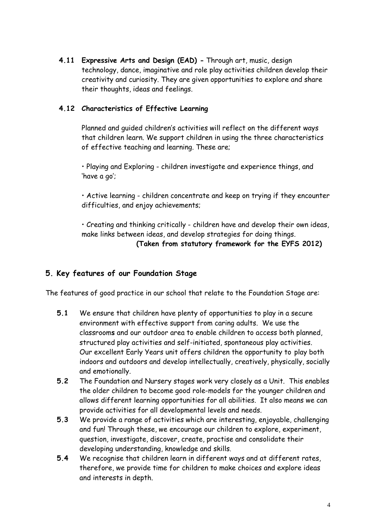**4.11 Expressive Arts and Design (EAD) -** Through art, music, design technology, dance, imaginative and role play activities children develop their creativity and curiosity. They are given opportunities to explore and share their thoughts, ideas and feelings.

### **4.12 Characteristics of Effective Learning**

Planned and guided children's activities will reflect on the different ways that children learn. We support children in using the three characteristics of effective teaching and learning. These are;

• Playing and Exploring - children investigate and experience things, and 'have a go';

• Active learning - children concentrate and keep on trying if they encounter difficulties, and enjoy achievements;

• Creating and thinking critically - children have and develop their own ideas, make links between ideas, and develop strategies for doing things.

**(Taken from statutory framework for the EYFS 2012)**

## **5. Key features of our Foundation Stage**

The features of good practice in our school that relate to the Foundation Stage are:

- **5.1** We ensure that children have plenty of opportunities to play in a secure environment with effective support from caring adults. We use the classroom**s** and our outdoor area to enable children to access both planned, structured play activities and self-initiated, spontaneous play activities. Our excellent Early Years unit offers children the opportunity to play both indoors and outdoors and develop intellectually, creatively, physically, socially and emotionally.
- **5.2** The Foundation and Nursery stages work very closely as a Unit. This enables the older children to become good role-models for the younger children and allows different learning opportunities for all abilities. It also means we can provide activities for all developmental levels and needs.
- **5.3** We provide a range of activities which are interesting, enjoyable, challenging and fun! Through these, we encourage our children to explore, experiment, question, investigate, discover, create, practise and consolidate their developing understanding, knowledge and skills.
- **5.4** We recognise that children learn in different ways and at different rates, therefore, we provide time for children to make choices and explore ideas and interests in depth.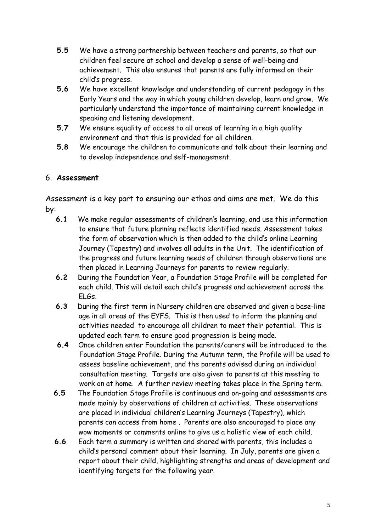- **5.5** We have a strong partnership between teachers and parents, so that our children feel secure at school and develop a sense of well-being and achievement. This also ensures that parents are fully informed on their child's progress.
- **5.6** We have excellent knowledge and understanding of current pedagogy in the Early Years and the way in which young children develop, learn and grow. We particularly understand the importance of maintaining current knowledge in speaking and listening development.
- **5.7** We ensure equality of access to all areas of learning in a high quality environment and that this is provided for all children.
- **5.8** We encourage the children to communicate and talk about their learning and to develop independence and self-management.

# 6. **Assessment**

Assessment is a key part to ensuring our ethos and aims are met. We do this by:

- **6.1** We make regular assessments of children's learning, and use this information to ensure that future planning reflects identified needs. Assessment takes the form of observation which is then added to the child's online Learning Journey (Tapestry) and involves all adults in the Unit. The identification of the progress and future learning needs of children through observations are then placed in Learning Journeys for parents to review regularly.
- **6.2** During the Foundation Year, a Foundation Stage Profile will be completed for each child. This will detail each child's progress and achievement across the ELGs.
- **6.3** During the first term in Nursery children are observed and given a base-line age in all areas of the EYFS. This is then used to inform the planning and activities needed to encourage all children to meet their potential. This is updated each term to ensure good progression is being made.
- **6.4** Once children enter Foundation the parents/carers will be introduced to the Foundation Stage Profile. During the Autumn term, the Profile will be used to assess baseline achievement, and the parents advised during an individual consultation meeting. Targets are also given to parents at this meeting to work on at home. A further review meeting takes place in the Spring term.
- **6.5** The Foundation Stage Profile is continuous and on-going and assessments are made mainly by observations of children at activities. These observations are placed in individual children's Learning Journeys (Tapestry), which parents can access from home . Parents are also encouraged to place any wow moments or comments online to give us a holistic view of each child.
- **6.6** Each term a summary is written and shared with parents, this includes a child's personal comment about their learning. In July, parents are given a report about their child, highlighting strengths and areas of development and identifying targets for the following year.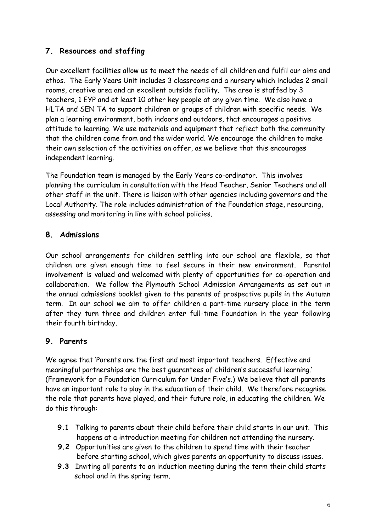# **7. Resources and staffing**

Our excellent facilities allow us to meet the needs of all children and fulfil our aims and ethos. The Early Years Unit includes 3 classrooms and a nursery which includes 2 small rooms, creative area and an excellent outside facility. The area is staffed by 3 teachers, 1 EYP and at least 10 other key people at any given time. We also have a HLTA and SEN TA to support children or groups of children with specific needs. We plan a learning environment, both indoors and outdoors, that encourages a positive attitude to learning. We use materials and equipment that reflect both the community that the children come from and the wider world. We encourage the children to make their own selection of the activities on offer, as we believe that this encourages independent learning.

The Foundation team is managed by the Early Years co-ordinator. This involves planning the curriculum in consultation with the Head Teacher, Senior Teachers and all other staff in the unit. There is liaison with other agencies including governors and the Local Authority. The role includes administration of the Foundation stage, resourcing, assessing and monitoring in line with school policies.

## **8. Admissions**

Our school arrangements for children settling into our school are flexible, so that children are given enough time to feel secure in their new environment. Parental involvement is valued and welcomed with plenty of opportunities for co-operation and collaboration. We follow the Plymouth School Admission Arrangements as set out in the annual admissions booklet given to the parents of prospective pupils in the Autumn term. In our school we aim to offer children a part-time nursery place in the term after they turn three and children enter full-time Foundation in the year following their fourth birthday.

## **9. Parents**

We agree that 'Parents are the first and most important teachers. Effective and meaningful partnerships are the best guarantees of children's successful learning.' (Framework for a Foundation Curriculum for Under Five's.) We believe that all parents have an important role to play in the education of their child. We therefore recognise the role that parents have played, and their future role, in educating the children. We do this through:

- **9.1** Talking to parents about their child before their child starts in our unit. This happens at a introduction meeting for children not attending the nursery.
- **9.2** Opportunities are given to the children to spend time with their teacher before starting school, which gives parents an opportunity to discuss issues.
- **9.3** Inviting all parents to an induction meeting during the term their child starts school and in the spring term.